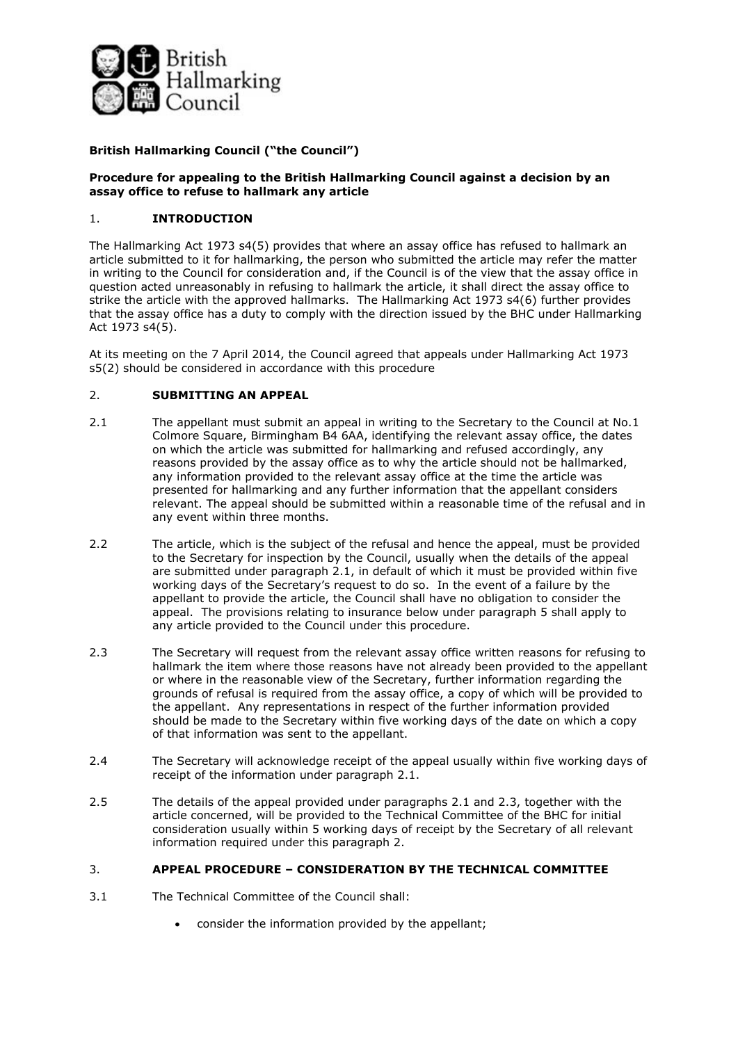

# **British Hallmarking Council ("the Council")**

### **Procedure for appealing to the British Hallmarking Council against a decision by an assay office to refuse to hallmark any article**

## 1. **INTRODUCTION**

The Hallmarking Act 1973 s4(5) provides that where an assay office has refused to hallmark an article submitted to it for hallmarking, the person who submitted the article may refer the matter in writing to the Council for consideration and, if the Council is of the view that the assay office in question acted unreasonably in refusing to hallmark the article, it shall direct the assay office to strike the article with the approved hallmarks. The Hallmarking Act 1973 s4(6) further provides that the assay office has a duty to comply with the direction issued by the BHC under Hallmarking Act 1973 s4(5).

At its meeting on the 7 April 2014, the Council agreed that appeals under Hallmarking Act 1973 s5(2) should be considered in accordance with this procedure

## 2. **SUBMITTING AN APPEAL**

- 2.1 The appellant must submit an appeal in writing to the Secretary to the Council at No.1 Colmore Square, Birmingham B4 6AA, identifying the relevant assay office, the dates on which the article was submitted for hallmarking and refused accordingly, any reasons provided by the assay office as to why the article should not be hallmarked, any information provided to the relevant assay office at the time the article was presented for hallmarking and any further information that the appellant considers relevant. The appeal should be submitted within a reasonable time of the refusal and in any event within three months.
- 2.2 The article, which is the subject of the refusal and hence the appeal, must be provided to the Secretary for inspection by the Council, usually when the details of the appeal are submitted under paragraph 2.1, in default of which it must be provided within five working days of the Secretary's request to do so. In the event of a failure by the appellant to provide the article, the Council shall have no obligation to consider the appeal. The provisions relating to insurance below under paragraph 5 shall apply to any article provided to the Council under this procedure.
- 2.3 The Secretary will request from the relevant assay office written reasons for refusing to hallmark the item where those reasons have not already been provided to the appellant or where in the reasonable view of the Secretary, further information regarding the grounds of refusal is required from the assay office, a copy of which will be provided to the appellant. Any representations in respect of the further information provided should be made to the Secretary within five working days of the date on which a copy of that information was sent to the appellant.
- 2.4 The Secretary will acknowledge receipt of the appeal usually within five working days of receipt of the information under paragraph 2.1.
- 2.5 The details of the appeal provided under paragraphs 2.1 and 2.3, together with the article concerned, will be provided to the Technical Committee of the BHC for initial consideration usually within 5 working days of receipt by the Secretary of all relevant information required under this paragraph 2.

### 3. **APPEAL PROCEDURE – CONSIDERATION BY THE TECHNICAL COMMITTEE**

- 3.1 The Technical Committee of the Council shall:
	- consider the information provided by the appellant;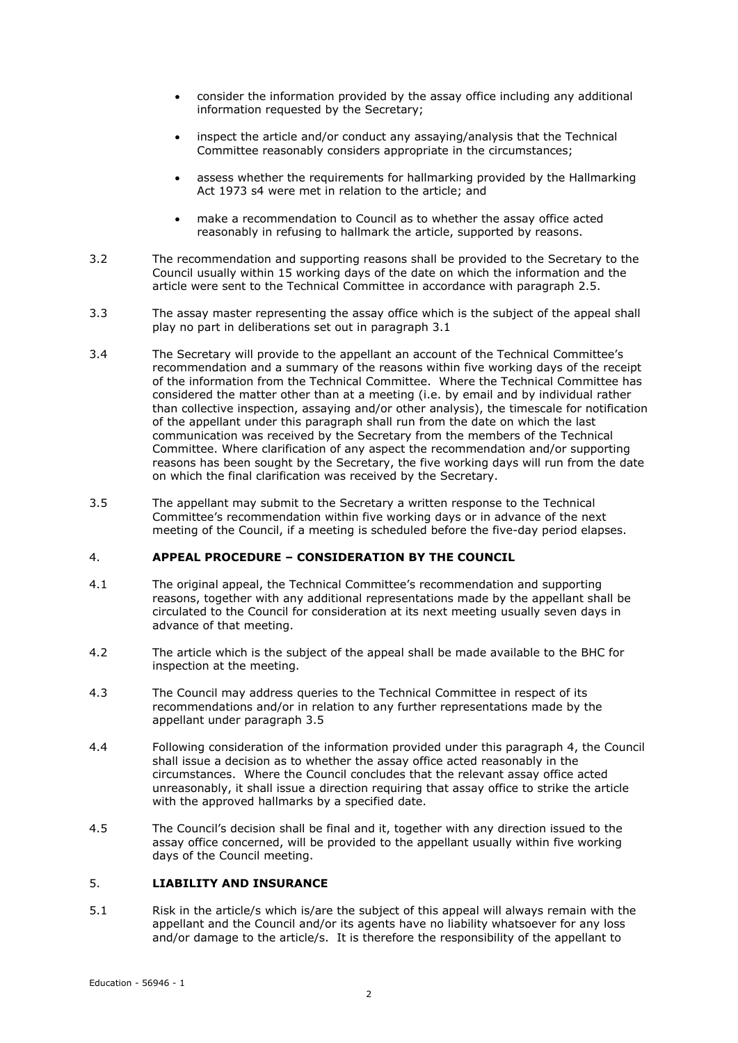- consider the information provided by the assay office including any additional information requested by the Secretary;
- inspect the article and/or conduct any assaying/analysis that the Technical Committee reasonably considers appropriate in the circumstances;
- assess whether the requirements for hallmarking provided by the Hallmarking Act 1973 s4 were met in relation to the article; and
- make a recommendation to Council as to whether the assay office acted reasonably in refusing to hallmark the article, supported by reasons.
- 3.2 The recommendation and supporting reasons shall be provided to the Secretary to the Council usually within 15 working days of the date on which the information and the article were sent to the Technical Committee in accordance with paragraph 2.5.
- 3.3 The assay master representing the assay office which is the subject of the appeal shall play no part in deliberations set out in paragraph 3.1
- 3.4 The Secretary will provide to the appellant an account of the Technical Committee's recommendation and a summary of the reasons within five working days of the receipt of the information from the Technical Committee. Where the Technical Committee has considered the matter other than at a meeting (i.e. by email and by individual rather than collective inspection, assaying and/or other analysis), the timescale for notification of the appellant under this paragraph shall run from the date on which the last communication was received by the Secretary from the members of the Technical Committee. Where clarification of any aspect the recommendation and/or supporting reasons has been sought by the Secretary, the five working days will run from the date on which the final clarification was received by the Secretary.
- 3.5 The appellant may submit to the Secretary a written response to the Technical Committee's recommendation within five working days or in advance of the next meeting of the Council, if a meeting is scheduled before the five-day period elapses.

### 4. **APPEAL PROCEDURE – CONSIDERATION BY THE COUNCIL**

- 4.1 The original appeal, the Technical Committee's recommendation and supporting reasons, together with any additional representations made by the appellant shall be circulated to the Council for consideration at its next meeting usually seven days in advance of that meeting.
- 4.2 The article which is the subject of the appeal shall be made available to the BHC for inspection at the meeting.
- 4.3 The Council may address queries to the Technical Committee in respect of its recommendations and/or in relation to any further representations made by the appellant under paragraph 3.5
- 4.4 Following consideration of the information provided under this paragraph 4, the Council shall issue a decision as to whether the assay office acted reasonably in the circumstances. Where the Council concludes that the relevant assay office acted unreasonably, it shall issue a direction requiring that assay office to strike the article with the approved hallmarks by a specified date.
- 4.5 The Council's decision shall be final and it, together with any direction issued to the assay office concerned, will be provided to the appellant usually within five working days of the Council meeting.

#### 5. **LIABILITY AND INSURANCE**

5.1 Risk in the article/s which is/are the subject of this appeal will always remain with the appellant and the Council and/or its agents have no liability whatsoever for any loss and/or damage to the article/s. It is therefore the responsibility of the appellant to